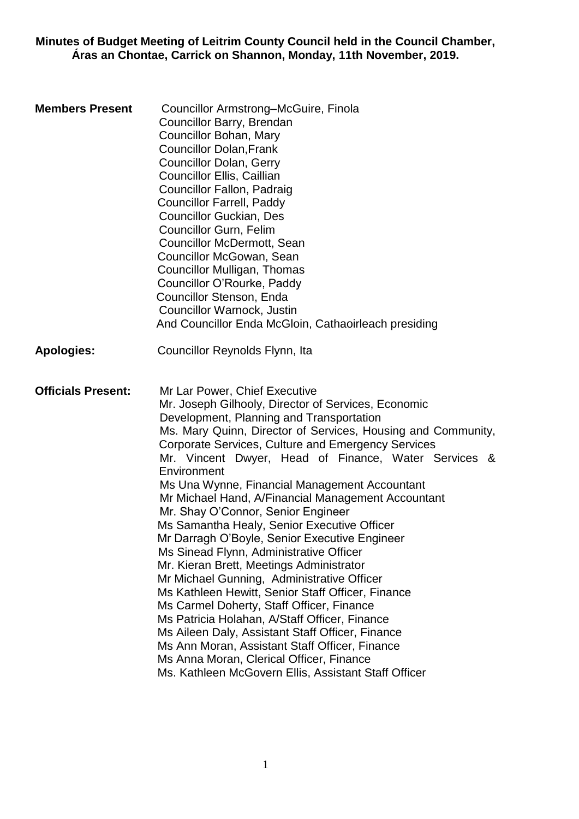**Minutes of Budget Meeting of Leitrim County Council held in the Council Chamber, Áras an Chontae, Carrick on Shannon, Monday, 11th November, 2019.**

| <b>Members Present</b>    | Councillor Armstrong–McGuire, Finola<br>Councillor Barry, Brendan<br>Councillor Bohan, Mary<br><b>Councillor Dolan, Frank</b><br><b>Councillor Dolan, Gerry</b><br>Councillor Ellis, Caillian<br>Councillor Fallon, Padraig<br><b>Councillor Farrell, Paddy</b><br><b>Councillor Guckian, Des</b><br><b>Councillor Gurn, Felim</b><br>Councillor McDermott, Sean<br>Councillor McGowan, Sean<br>Councillor Mulligan, Thomas<br>Councillor O'Rourke, Paddy<br>Councillor Stenson, Enda<br>Councillor Warnock, Justin<br>And Councillor Enda McGloin, Cathaoirleach presiding                                                                                                                                                                                                                                                                                                                                                                                                                                                                                                  |
|---------------------------|------------------------------------------------------------------------------------------------------------------------------------------------------------------------------------------------------------------------------------------------------------------------------------------------------------------------------------------------------------------------------------------------------------------------------------------------------------------------------------------------------------------------------------------------------------------------------------------------------------------------------------------------------------------------------------------------------------------------------------------------------------------------------------------------------------------------------------------------------------------------------------------------------------------------------------------------------------------------------------------------------------------------------------------------------------------------------|
| <b>Apologies:</b>         | Councillor Reynolds Flynn, Ita                                                                                                                                                                                                                                                                                                                                                                                                                                                                                                                                                                                                                                                                                                                                                                                                                                                                                                                                                                                                                                               |
| <b>Officials Present:</b> | Mr Lar Power, Chief Executive<br>Mr. Joseph Gilhooly, Director of Services, Economic<br>Development, Planning and Transportation<br>Ms. Mary Quinn, Director of Services, Housing and Community,<br>Corporate Services, Culture and Emergency Services<br>Mr. Vincent Dwyer, Head of Finance, Water Services &<br>Environment<br>Ms Una Wynne, Financial Management Accountant<br>Mr Michael Hand, A/Financial Management Accountant<br>Mr. Shay O'Connor, Senior Engineer<br>Ms Samantha Healy, Senior Executive Officer<br>Mr Darragh O'Boyle, Senior Executive Engineer<br>Ms Sinead Flynn, Administrative Officer<br>Mr. Kieran Brett, Meetings Administrator<br>Mr Michael Gunning, Administrative Officer<br>Ms Kathleen Hewitt, Senior Staff Officer, Finance<br>Ms Carmel Doherty, Staff Officer, Finance<br>Ms Patricia Holahan, A/Staff Officer, Finance<br>Ms Aileen Daly, Assistant Staff Officer, Finance<br>Ms Ann Moran, Assistant Staff Officer, Finance<br>Ms Anna Moran, Clerical Officer, Finance<br>Ms. Kathleen McGovern Ellis, Assistant Staff Officer |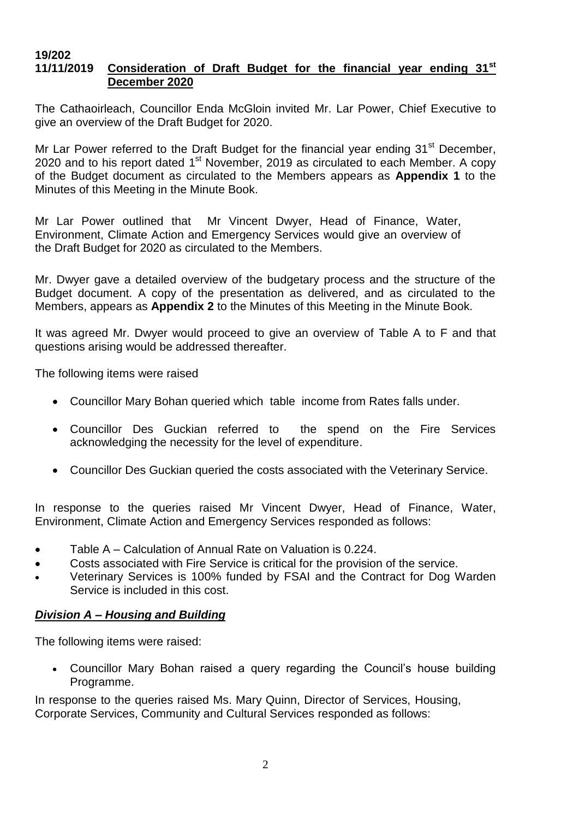#### **19/202 11/11/2019 Consideration of Draft Budget for the financial year ending 31st December 2020**

The Cathaoirleach, Councillor Enda McGloin invited Mr. Lar Power, Chief Executive to give an overview of the Draft Budget for 2020.

Mr Lar Power referred to the Draft Budget for the financial year ending 31<sup>st</sup> December, 2020 and to his report dated  $1<sup>st</sup>$  November, 2019 as circulated to each Member. A copy of the Budget document as circulated to the Members appears as **Appendix 1** to the Minutes of this Meeting in the Minute Book.

Mr Lar Power outlined that Mr Vincent Dwyer, Head of Finance, Water, Environment, Climate Action and Emergency Services would give an overview of the Draft Budget for 2020 as circulated to the Members.

Mr. Dwyer gave a detailed overview of the budgetary process and the structure of the Budget document. A copy of the presentation as delivered, and as circulated to the Members, appears as **Appendix 2** to the Minutes of this Meeting in the Minute Book.

It was agreed Mr. Dwyer would proceed to give an overview of Table A to F and that questions arising would be addressed thereafter.

The following items were raised

- Councillor Mary Bohan queried which table income from Rates falls under.
- Councillor Des Guckian referred to the spend on the Fire Services acknowledging the necessity for the level of expenditure.
- Councillor Des Guckian queried the costs associated with the Veterinary Service.

In response to the queries raised Mr Vincent Dwyer, Head of Finance, Water, Environment, Climate Action and Emergency Services responded as follows:

- Table A Calculation of Annual Rate on Valuation is 0.224.
- Costs associated with Fire Service is critical for the provision of the service.
- Veterinary Services is 100% funded by FSAI and the Contract for Dog Warden Service is included in this cost.

#### *Division A – Housing and Building*

The following items were raised:

• Councillor Mary Bohan raised a query regarding the Council's house building Programme.

In response to the queries raised Ms. Mary Quinn, Director of Services, Housing, Corporate Services, Community and Cultural Services responded as follows: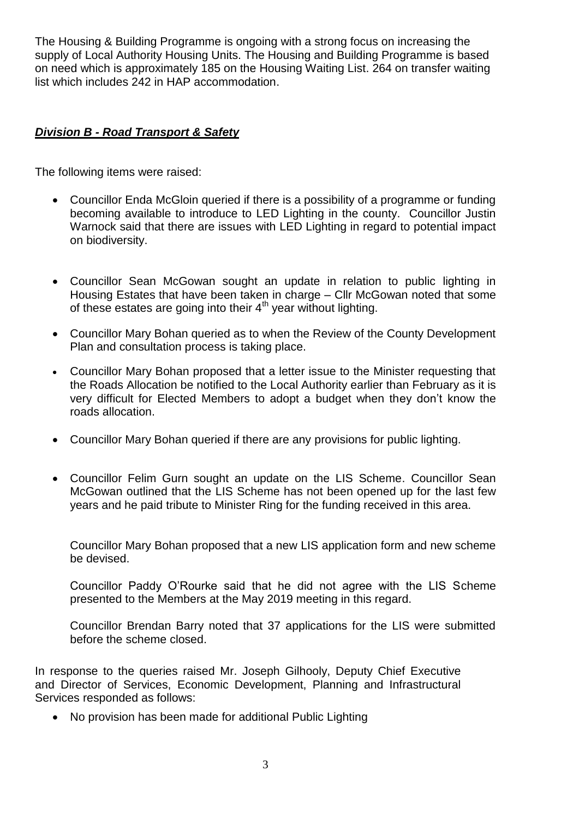The Housing & Building Programme is ongoing with a strong focus on increasing the supply of Local Authority Housing Units. The Housing and Building Programme is based on need which is approximately 185 on the Housing Waiting List. 264 on transfer waiting list which includes 242 in HAP accommodation.

# *Division B - Road Transport & Safety*

The following items were raised:

- Councillor Enda McGloin queried if there is a possibility of a programme or funding becoming available to introduce to LED Lighting in the county. Councillor Justin Warnock said that there are issues with LED Lighting in regard to potential impact on biodiversity.
- Councillor Sean McGowan sought an update in relation to public lighting in Housing Estates that have been taken in charge – Cllr McGowan noted that some of these estates are going into their  $4<sup>th</sup>$  year without lighting.
- Councillor Mary Bohan queried as to when the Review of the County Development Plan and consultation process is taking place.
- Councillor Mary Bohan proposed that a letter issue to the Minister requesting that the Roads Allocation be notified to the Local Authority earlier than February as it is very difficult for Elected Members to adopt a budget when they don't know the roads allocation.
- Councillor Mary Bohan queried if there are any provisions for public lighting.
- Councillor Felim Gurn sought an update on the LIS Scheme. Councillor Sean McGowan outlined that the LIS Scheme has not been opened up for the last few years and he paid tribute to Minister Ring for the funding received in this area.

Councillor Mary Bohan proposed that a new LIS application form and new scheme be devised.

Councillor Paddy O'Rourke said that he did not agree with the LIS Scheme presented to the Members at the May 2019 meeting in this regard.

Councillor Brendan Barry noted that 37 applications for the LIS were submitted before the scheme closed.

In response to the queries raised Mr. Joseph Gilhooly, Deputy Chief Executive and Director of Services, Economic Development, Planning and Infrastructural Services responded as follows:

• No provision has been made for additional Public Lighting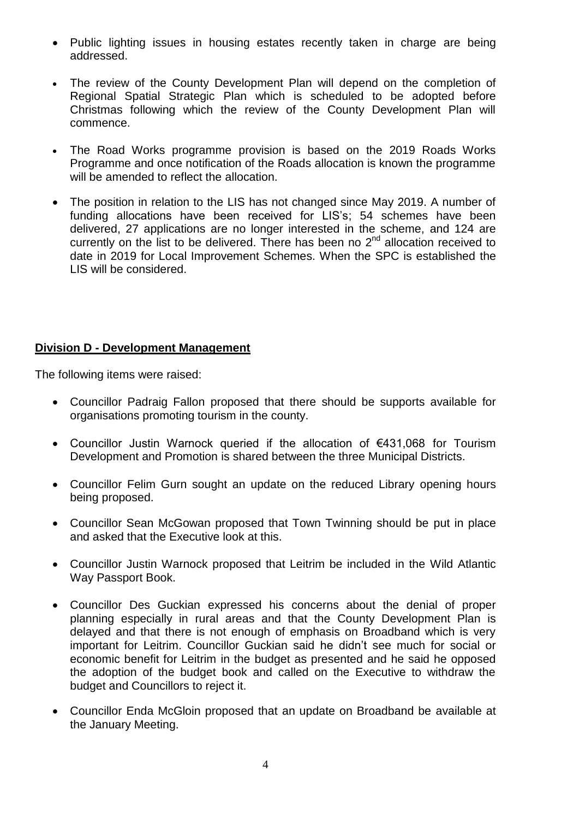- Public lighting issues in housing estates recently taken in charge are being addressed.
- The review of the County Development Plan will depend on the completion of Regional Spatial Strategic Plan which is scheduled to be adopted before Christmas following which the review of the County Development Plan will commence.
- The Road Works programme provision is based on the 2019 Roads Works Programme and once notification of the Roads allocation is known the programme will be amended to reflect the allocation.
- The position in relation to the LIS has not changed since May 2019. A number of funding allocations have been received for LIS's; 54 schemes have been delivered, 27 applications are no longer interested in the scheme, and 124 are currently on the list to be delivered. There has been no  $2<sup>nd</sup>$  allocation received to date in 2019 for Local Improvement Schemes. When the SPC is established the LIS will be considered.

# **Division D - Development Management**

The following items were raised:

- Councillor Padraig Fallon proposed that there should be supports available for organisations promoting tourism in the county.
- Councillor Justin Warnock queried if the allocation of €431,068 for Tourism Development and Promotion is shared between the three Municipal Districts.
- Councillor Felim Gurn sought an update on the reduced Library opening hours being proposed.
- Councillor Sean McGowan proposed that Town Twinning should be put in place and asked that the Executive look at this.
- Councillor Justin Warnock proposed that Leitrim be included in the Wild Atlantic Way Passport Book.
- Councillor Des Guckian expressed his concerns about the denial of proper planning especially in rural areas and that the County Development Plan is delayed and that there is not enough of emphasis on Broadband which is very important for Leitrim. Councillor Guckian said he didn't see much for social or economic benefit for Leitrim in the budget as presented and he said he opposed the adoption of the budget book and called on the Executive to withdraw the budget and Councillors to reject it.
- Councillor Enda McGloin proposed that an update on Broadband be available at the January Meeting.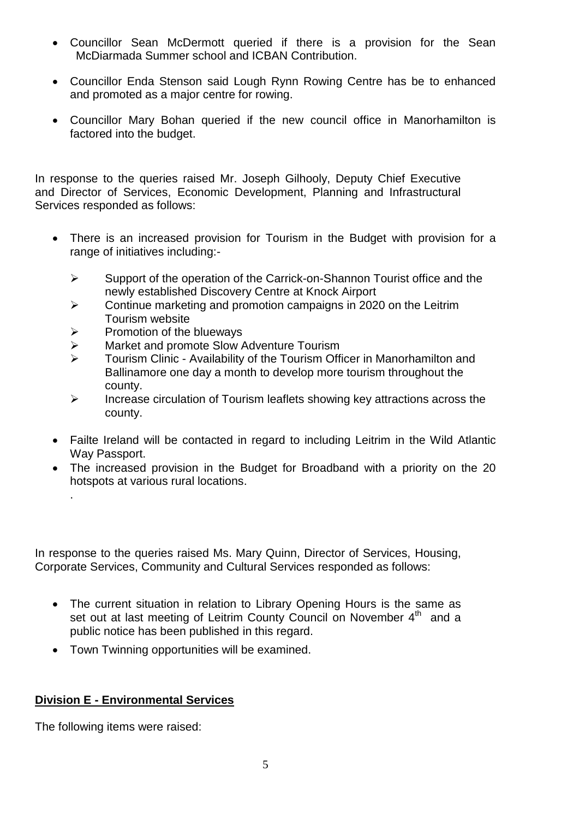- Councillor Sean McDermott queried if there is a provision for the Sean McDiarmada Summer school and ICBAN Contribution.
- Councillor Enda Stenson said Lough Rynn Rowing Centre has be to enhanced and promoted as a major centre for rowing.
- Councillor Mary Bohan queried if the new council office in Manorhamilton is factored into the budget.

In response to the queries raised Mr. Joseph Gilhooly, Deputy Chief Executive and Director of Services, Economic Development, Planning and Infrastructural Services responded as follows:

- There is an increased provision for Tourism in the Budget with provision for a range of initiatives including:-
	- $\triangleright$  Support of the operation of the Carrick-on-Shannon Tourist office and the newly established Discovery Centre at Knock Airport
	- $\triangleright$  Continue marketing and promotion campaigns in 2020 on the Leitrim Tourism website
	- $\triangleright$  Promotion of the blueways
	- **▶ Market and promote Slow Adventure Tourism**
	- Tourism Clinic Availability of the Tourism Officer in Manorhamilton and Ballinamore one day a month to develop more tourism throughout the county.
	- $\triangleright$  Increase circulation of Tourism leaflets showing key attractions across the county.
- Failte Ireland will be contacted in regard to including Leitrim in the Wild Atlantic Way Passport.
- The increased provision in the Budget for Broadband with a priority on the 20 hotspots at various rural locations.

In response to the queries raised Ms. Mary Quinn, Director of Services, Housing, Corporate Services, Community and Cultural Services responded as follows:

- The current situation in relation to Library Opening Hours is the same as set out at last meeting of Leitrim County Council on November 4<sup>th</sup> and a public notice has been published in this regard.
- Town Twinning opportunities will be examined.

# **Division E - Environmental Services**

The following items were raised:

.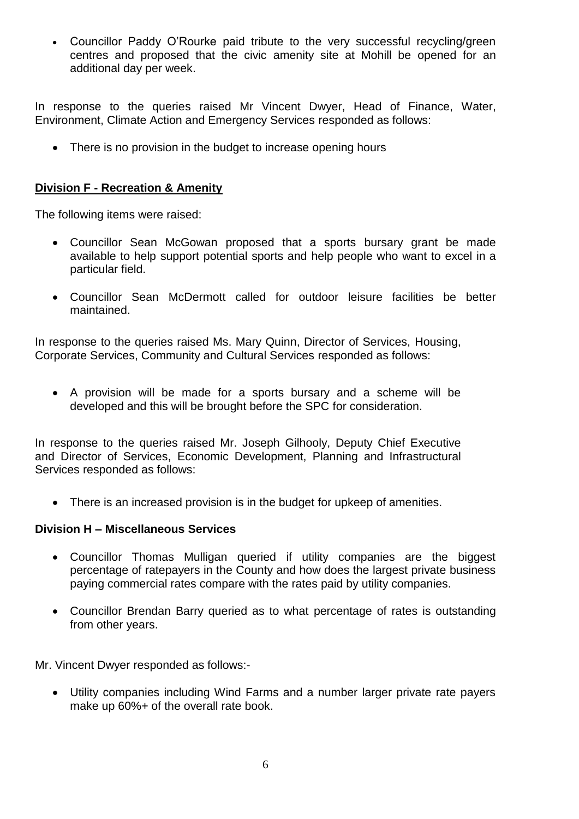Councillor Paddy O'Rourke paid tribute to the very successful recycling/green centres and proposed that the civic amenity site at Mohill be opened for an additional day per week.

In response to the queries raised Mr Vincent Dwyer, Head of Finance, Water, Environment, Climate Action and Emergency Services responded as follows:

• There is no provision in the budget to increase opening hours

# **Division F - Recreation & Amenity**

The following items were raised:

- Councillor Sean McGowan proposed that a sports bursary grant be made available to help support potential sports and help people who want to excel in a particular field.
- Councillor Sean McDermott called for outdoor leisure facilities be better maintained.

In response to the queries raised Ms. Mary Quinn, Director of Services, Housing, Corporate Services, Community and Cultural Services responded as follows:

 A provision will be made for a sports bursary and a scheme will be developed and this will be brought before the SPC for consideration.

In response to the queries raised Mr. Joseph Gilhooly, Deputy Chief Executive and Director of Services, Economic Development, Planning and Infrastructural Services responded as follows:

There is an increased provision is in the budget for upkeep of amenities.

### **Division H – Miscellaneous Services**

- Councillor Thomas Mulligan queried if utility companies are the biggest percentage of ratepayers in the County and how does the largest private business paying commercial rates compare with the rates paid by utility companies.
- Councillor Brendan Barry queried as to what percentage of rates is outstanding from other years.

Mr. Vincent Dwyer responded as follows:-

 Utility companies including Wind Farms and a number larger private rate payers make up 60%+ of the overall rate book.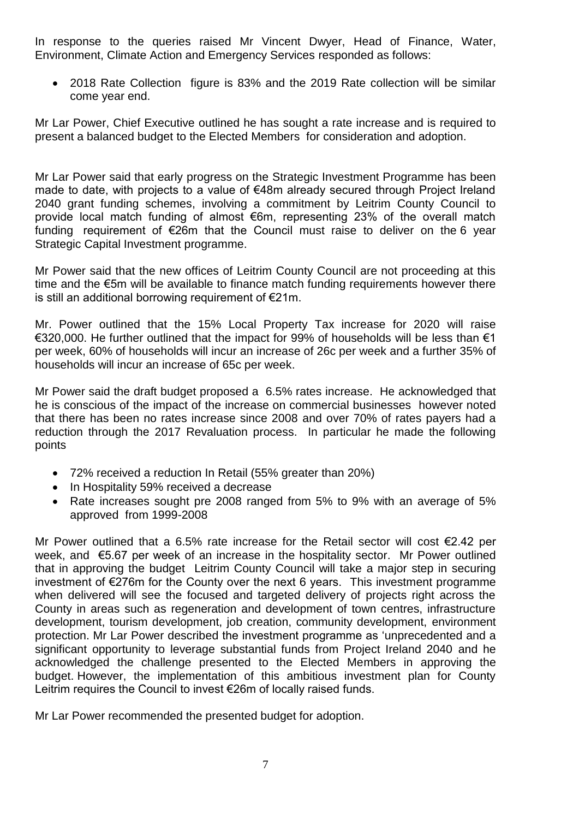In response to the queries raised Mr Vincent Dwyer, Head of Finance, Water, Environment, Climate Action and Emergency Services responded as follows:

 2018 Rate Collection figure is 83% and the 2019 Rate collection will be similar come year end.

Mr Lar Power, Chief Executive outlined he has sought a rate increase and is required to present a balanced budget to the Elected Members for consideration and adoption.

Mr Lar Power said that early progress on the Strategic Investment Programme has been made to date, with projects to a value of €48m already secured through Project Ireland 2040 grant funding schemes, involving a commitment by Leitrim County Council to provide local match funding of almost €6m, representing 23% of the overall match funding requirement of €26m that the Council must raise to deliver on the 6 year Strategic Capital Investment programme.

Mr Power said that the new offices of Leitrim County Council are not proceeding at this time and the €5m will be available to finance match funding requirements however there is still an additional borrowing requirement of €21m.

Mr. Power outlined that the 15% Local Property Tax increase for 2020 will raise €320,000. He further outlined that the impact for 99% of households will be less than €1 per week, 60% of households will incur an increase of 26c per week and a further 35% of households will incur an increase of 65c per week.

Mr Power said the draft budget proposed a 6.5% rates increase. He acknowledged that he is conscious of the impact of the increase on commercial businesses however noted that there has been no rates increase since 2008 and over 70% of rates payers had a reduction through the 2017 Revaluation process. In particular he made the following points

- 72% received a reduction In Retail (55% greater than 20%)
- In Hospitality 59% received a decrease
- Rate increases sought pre 2008 ranged from 5% to 9% with an average of 5% approved from 1999-2008

Mr Power outlined that a 6.5% rate increase for the Retail sector will cost €2.42 per week, and €5.67 per week of an increase in the hospitality sector. Mr Power outlined that in approving the budget Leitrim County Council will take a major step in securing investment of €276m for the County over the next 6 years. This investment programme when delivered will see the focused and targeted delivery of projects right across the County in areas such as regeneration and development of town centres, infrastructure development, tourism development, job creation, community development, environment protection. Mr Lar Power described the investment programme as 'unprecedented and a significant opportunity to leverage substantial funds from Project Ireland 2040 and he acknowledged the challenge presented to the Elected Members in approving the budget. However, the implementation of this ambitious investment plan for County Leitrim requires the Council to invest €26m of locally raised funds.

Mr Lar Power recommended the presented budget for adoption.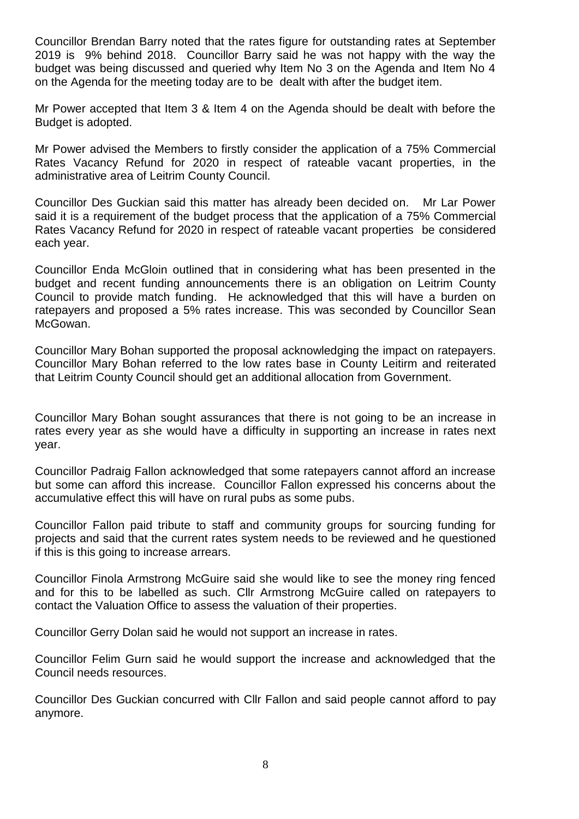Councillor Brendan Barry noted that the rates figure for outstanding rates at September 2019 is 9% behind 2018. Councillor Barry said he was not happy with the way the budget was being discussed and queried why Item No 3 on the Agenda and Item No 4 on the Agenda for the meeting today are to be dealt with after the budget item.

Mr Power accepted that Item 3 & Item 4 on the Agenda should be dealt with before the Budget is adopted.

Mr Power advised the Members to firstly consider the application of a 75% Commercial Rates Vacancy Refund for 2020 in respect of rateable vacant properties, in the administrative area of Leitrim County Council.

Councillor Des Guckian said this matter has already been decided on. Mr Lar Power said it is a requirement of the budget process that the application of a 75% Commercial Rates Vacancy Refund for 2020 in respect of rateable vacant properties be considered each year.

Councillor Enda McGloin outlined that in considering what has been presented in the budget and recent funding announcements there is an obligation on Leitrim County Council to provide match funding. He acknowledged that this will have a burden on ratepayers and proposed a 5% rates increase. This was seconded by Councillor Sean McGowan.

Councillor Mary Bohan supported the proposal acknowledging the impact on ratepayers. Councillor Mary Bohan referred to the low rates base in County Leitirm and reiterated that Leitrim County Council should get an additional allocation from Government.

Councillor Mary Bohan sought assurances that there is not going to be an increase in rates every year as she would have a difficulty in supporting an increase in rates next year.

Councillor Padraig Fallon acknowledged that some ratepayers cannot afford an increase but some can afford this increase. Councillor Fallon expressed his concerns about the accumulative effect this will have on rural pubs as some pubs.

Councillor Fallon paid tribute to staff and community groups for sourcing funding for projects and said that the current rates system needs to be reviewed and he questioned if this is this going to increase arrears.

Councillor Finola Armstrong McGuire said she would like to see the money ring fenced and for this to be labelled as such. Cllr Armstrong McGuire called on ratepayers to contact the Valuation Office to assess the valuation of their properties.

Councillor Gerry Dolan said he would not support an increase in rates.

Councillor Felim Gurn said he would support the increase and acknowledged that the Council needs resources.

Councillor Des Guckian concurred with Cllr Fallon and said people cannot afford to pay anymore.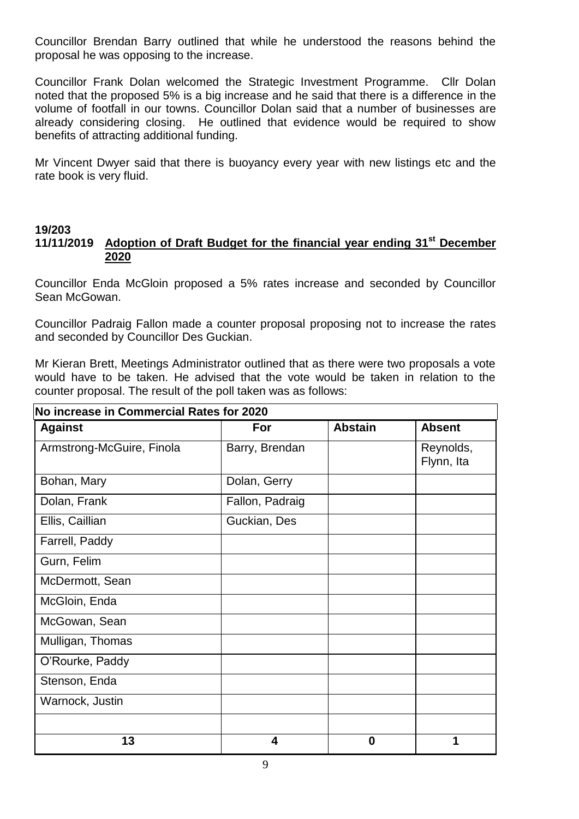Councillor Brendan Barry outlined that while he understood the reasons behind the proposal he was opposing to the increase.

Councillor Frank Dolan welcomed the Strategic Investment Programme. Cllr Dolan noted that the proposed 5% is a big increase and he said that there is a difference in the volume of footfall in our towns. Councillor Dolan said that a number of businesses are already considering closing. He outlined that evidence would be required to show benefits of attracting additional funding.

Mr Vincent Dwyer said that there is buoyancy every year with new listings etc and the rate book is very fluid.

# **19/203**

### **11/11/2019 Adoption of Draft Budget for the financial year ending 31st December 2020**

Councillor Enda McGloin proposed a 5% rates increase and seconded by Councillor Sean McGowan.

Councillor Padraig Fallon made a counter proposal proposing not to increase the rates and seconded by Councillor Des Guckian.

Mr Kieran Brett, Meetings Administrator outlined that as there were two proposals a vote would have to be taken. He advised that the vote would be taken in relation to the counter proposal. The result of the poll taken was as follows:

| No increase in Commercial Rates for 2020 |                 |                |                         |  |
|------------------------------------------|-----------------|----------------|-------------------------|--|
| <b>Against</b>                           | For             | <b>Abstain</b> | <b>Absent</b>           |  |
| Armstrong-McGuire, Finola                | Barry, Brendan  |                | Reynolds,<br>Flynn, Ita |  |
| Bohan, Mary                              | Dolan, Gerry    |                |                         |  |
| Dolan, Frank                             | Fallon, Padraig |                |                         |  |
| Ellis, Caillian                          | Guckian, Des    |                |                         |  |
| Farrell, Paddy                           |                 |                |                         |  |
| Gurn, Felim                              |                 |                |                         |  |
| McDermott, Sean                          |                 |                |                         |  |
| McGloin, Enda                            |                 |                |                         |  |
| McGowan, Sean                            |                 |                |                         |  |
| Mulligan, Thomas                         |                 |                |                         |  |
| O'Rourke, Paddy                          |                 |                |                         |  |
| Stenson, Enda                            |                 |                |                         |  |
| Warnock, Justin                          |                 |                |                         |  |
|                                          |                 |                |                         |  |
| 13                                       | 4               | $\bf{0}$       |                         |  |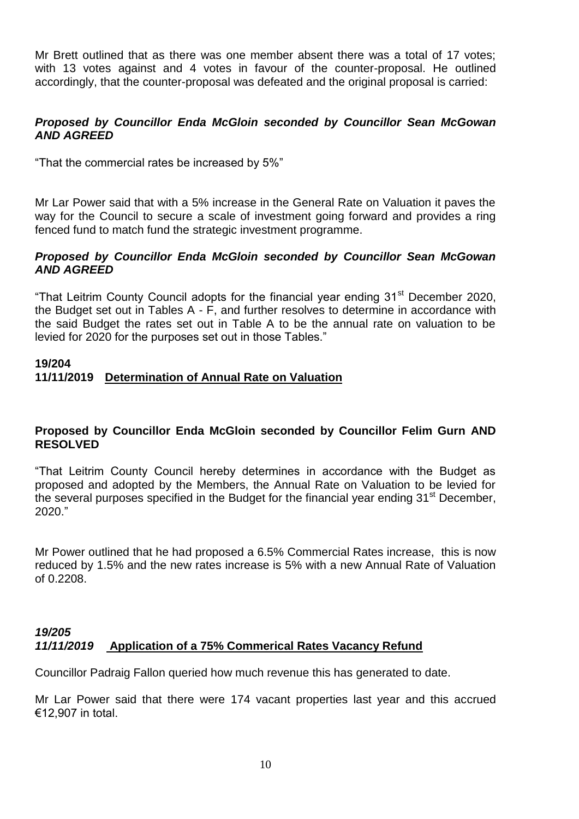Mr Brett outlined that as there was one member absent there was a total of 17 votes; with 13 votes against and 4 votes in favour of the counter-proposal. He outlined accordingly, that the counter-proposal was defeated and the original proposal is carried:

# *Proposed by Councillor Enda McGloin seconded by Councillor Sean McGowan AND AGREED*

"That the commercial rates be increased by 5%"

Mr Lar Power said that with a 5% increase in the General Rate on Valuation it paves the way for the Council to secure a scale of investment going forward and provides a ring fenced fund to match fund the strategic investment programme.

### *Proposed by Councillor Enda McGloin seconded by Councillor Sean McGowan AND AGREED*

"That Leitrim County Council adopts for the financial year ending 31<sup>st</sup> December 2020, the Budget set out in Tables A - F, and further resolves to determine in accordance with the said Budget the rates set out in Table A to be the annual rate on valuation to be levied for 2020 for the purposes set out in those Tables."

### **19/204 11/11/2019 Determination of Annual Rate on Valuation**

#### **Proposed by Councillor Enda McGloin seconded by Councillor Felim Gurn AND RESOLVED**

"That Leitrim County Council hereby determines in accordance with the Budget as proposed and adopted by the Members, the Annual Rate on Valuation to be levied for the several purposes specified in the Budget for the financial year ending 31<sup>st</sup> December, 2020."

Mr Power outlined that he had proposed a 6.5% Commercial Rates increase, this is now reduced by 1.5% and the new rates increase is 5% with a new Annual Rate of Valuation of 0.2208.

# *19/205 11/11/2019* **Application of a 75% Commerical Rates Vacancy Refund**

Councillor Padraig Fallon queried how much revenue this has generated to date.

Mr Lar Power said that there were 174 vacant properties last year and this accrued €12,907 in total.